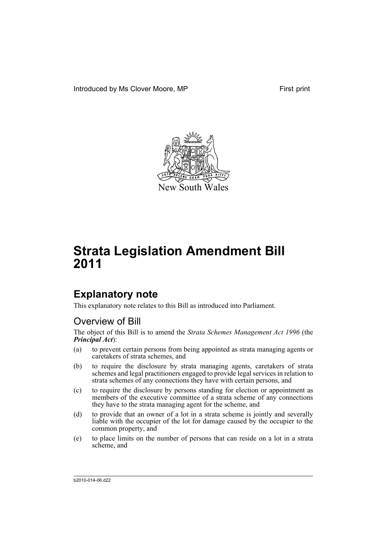

# **Explanatory note**

This explanatory note relates to this Bill as introduced into Parliament.

# Overview of Bill

The object of this Bill is to amend the *Strata Schemes Management Act 1996* (the *Principal Act*):

- (a) to prevent certain persons from being appointed as strata managing agents or caretakers of strata schemes, and
- (b) to require the disclosure by strata managing agents, caretakers of strata schemes and legal practitioners engaged to provide legal services in relation to strata schemes of any connections they have with certain persons, and
- (c) to require the disclosure by persons standing for election or appointment as members of the executive committee of a strata scheme of any connections they have to the strata managing agent for the scheme, and
- (d) to provide that an owner of a lot in a strata scheme is jointly and severally liable with the occupier of the lot for damage caused by the occupier to the common property, and
- (e) to place limits on the number of persons that can reside on a lot in a strata scheme, and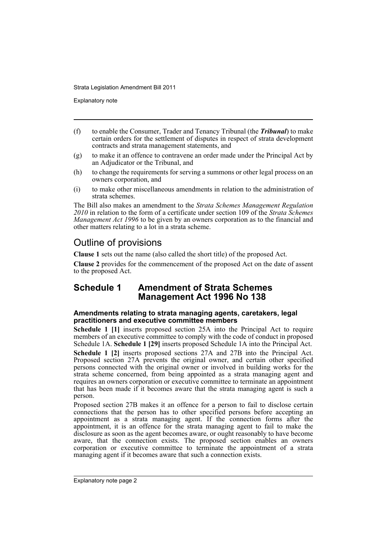Explanatory note

- (f) to enable the Consumer, Trader and Tenancy Tribunal (the *Tribunal*) to make certain orders for the settlement of disputes in respect of strata development contracts and strata management statements, and
- (g) to make it an offence to contravene an order made under the Principal Act by an Adjudicator or the Tribunal, and
- (h) to change the requirements for serving a summons or other legal process on an owners corporation, and
- (i) to make other miscellaneous amendments in relation to the administration of strata schemes.

The Bill also makes an amendment to the *Strata Schemes Management Regulation 2010* in relation to the form of a certificate under section 109 of the *Strata Schemes Management Act 1996* to be given by an owners corporation as to the financial and other matters relating to a lot in a strata scheme.

# Outline of provisions

**Clause 1** sets out the name (also called the short title) of the proposed Act.

**Clause 2** provides for the commencement of the proposed Act on the date of assent to the proposed Act.

# **Schedule 1 Amendment of Strata Schemes Management Act 1996 No 138**

## **Amendments relating to strata managing agents, caretakers, legal practitioners and executive committee members**

**Schedule 1 [1]** inserts proposed section 25A into the Principal Act to require members of an executive committee to comply with the code of conduct in proposed Schedule 1A. **Schedule 1 [29]** inserts proposed Schedule 1A into the Principal Act. **Schedule 1 [2]** inserts proposed sections 27A and 27B into the Principal Act. Proposed section 27A prevents the original owner, and certain other specified persons connected with the original owner or involved in building works for the strata scheme concerned, from being appointed as a strata managing agent and requires an owners corporation or executive committee to terminate an appointment that has been made if it becomes aware that the strata managing agent is such a person.

Proposed section 27B makes it an offence for a person to fail to disclose certain connections that the person has to other specified persons before accepting an appointment as a strata managing agent. If the connection forms after the appointment, it is an offence for the strata managing agent to fail to make the disclosure as soon as the agent becomes aware, or ought reasonably to have become aware, that the connection exists. The proposed section enables an owners corporation or executive committee to terminate the appointment of a strata managing agent if it becomes aware that such a connection exists.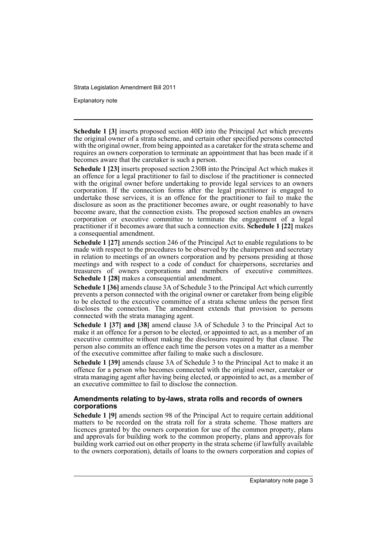Explanatory note

**Schedule 1 [3]** inserts proposed section 40D into the Principal Act which prevents the original owner of a strata scheme, and certain other specified persons connected with the original owner, from being appointed as a caretaker for the strata scheme and requires an owners corporation to terminate an appointment that has been made if it becomes aware that the caretaker is such a person.

**Schedule 1 [23]** inserts proposed section 230B into the Principal Act which makes it an offence for a legal practitioner to fail to disclose if the practitioner is connected with the original owner before undertaking to provide legal services to an owners corporation. If the connection forms after the legal practitioner is engaged to undertake those services, it is an offence for the practitioner to fail to make the disclosure as soon as the practitioner becomes aware, or ought reasonably to have become aware, that the connection exists. The proposed section enables an owners corporation or executive committee to terminate the engagement of a legal practitioner if it becomes aware that such a connection exits. **Schedule 1 [22]** makes a consequential amendment.

**Schedule 1 [27]** amends section 246 of the Principal Act to enable regulations to be made with respect to the procedures to be observed by the chairperson and secretary in relation to meetings of an owners corporation and by persons presiding at those meetings and with respect to a code of conduct for chairpersons, secretaries and treasurers of owners corporations and members of executive committees. **Schedule 1 [28]** makes a consequential amendment.

**Schedule 1 [36]** amends clause 3A of Schedule 3 to the Principal Act which currently prevents a person connected with the original owner or caretaker from being eligible to be elected to the executive committee of a strata scheme unless the person first discloses the connection. The amendment extends that provision to persons connected with the strata managing agent.

**Schedule 1 [37] and [38]** amend clause 3A of Schedule 3 to the Principal Act to make it an offence for a person to be elected, or appointed to act, as a member of an executive committee without making the disclosures required by that clause. The person also commits an offence each time the person votes on a matter as a member of the executive committee after failing to make such a disclosure.

**Schedule 1 [39]** amends clause 3A of Schedule 3 to the Principal Act to make it an offence for a person who becomes connected with the original owner, caretaker or strata managing agent after having being elected, or appointed to act, as a member of an executive committee to fail to disclose the connection.

## **Amendments relating to by-laws, strata rolls and records of owners corporations**

**Schedule 1 [9]** amends section 98 of the Principal Act to require certain additional matters to be recorded on the strata roll for a strata scheme. Those matters are licences granted by the owners corporation for use of the common property, plans and approvals for building work to the common property, plans and approvals for building work carried out on other property in the strata scheme (if lawfully available to the owners corporation), details of loans to the owners corporation and copies of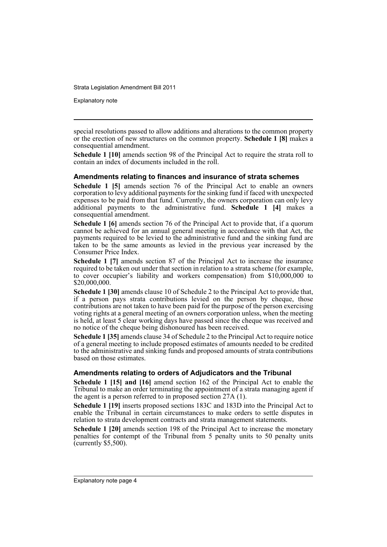Explanatory note

special resolutions passed to allow additions and alterations to the common property or the erection of new structures on the common property. **Schedule 1 [8]** makes a consequential amendment.

**Schedule 1 [10]** amends section 98 of the Principal Act to require the strata roll to contain an index of documents included in the roll.

## **Amendments relating to finances and insurance of strata schemes**

**Schedule 1 [5]** amends section 76 of the Principal Act to enable an owners corporation to levy additional payments for the sinking fund if faced with unexpected expenses to be paid from that fund. Currently, the owners corporation can only levy additional payments to the administrative fund. **Schedule 1 [4]** makes a consequential amendment.

**Schedule 1 [6]** amends section 76 of the Principal Act to provide that, if a quorum cannot be achieved for an annual general meeting in accordance with that Act, the payments required to be levied to the administrative fund and the sinking fund are taken to be the same amounts as levied in the previous year increased by the Consumer Price Index.

**Schedule 1 [7]** amends section 87 of the Principal Act to increase the insurance required to be taken out under that section in relation to a strata scheme (for example, to cover occupier's liability and workers compensation) from \$10,000,000 to \$20,000,000.

**Schedule 1 [30]** amends clause 10 of Schedule 2 to the Principal Act to provide that, if a person pays strata contributions levied on the person by cheque, those contributions are not taken to have been paid for the purpose of the person exercising voting rights at a general meeting of an owners corporation unless, when the meeting is held, at least 5 clear working days have passed since the cheque was received and no notice of the cheque being dishonoured has been received.

**Schedule 1 [35]** amends clause 34 of Schedule 2 to the Principal Act to require notice of a general meeting to include proposed estimates of amounts needed to be credited to the administrative and sinking funds and proposed amounts of strata contributions based on those estimates.

## **Amendments relating to orders of Adjudicators and the Tribunal**

**Schedule 1 [15] and [16]** amend section 162 of the Principal Act to enable the Tribunal to make an order terminating the appointment of a strata managing agent if the agent is a person referred to in proposed section 27A (1).

**Schedule 1 [19]** inserts proposed sections 183C and 183D into the Principal Act to enable the Tribunal in certain circumstances to make orders to settle disputes in relation to strata development contracts and strata management statements.

**Schedule 1 [20]** amends section 198 of the Principal Act to increase the monetary penalties for contempt of the Tribunal from 5 penalty units to 50 penalty units (currently \$5,500).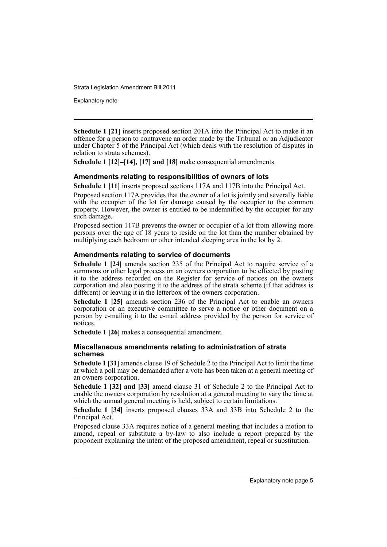Explanatory note

**Schedule 1 [21]** inserts proposed section 201A into the Principal Act to make it an offence for a person to contravene an order made by the Tribunal or an Adjudicator under Chapter 5 of the Principal Act (which deals with the resolution of disputes in relation to strata schemes).

**Schedule 1 [12]–[14], [17] and [18]** make consequential amendments.

## **Amendments relating to responsibilities of owners of lots**

**Schedule 1 [11]** inserts proposed sections 117A and 117B into the Principal Act.

Proposed section 117A provides that the owner of a lot is jointly and severally liable with the occupier of the lot for damage caused by the occupier to the common property. However, the owner is entitled to be indemnified by the occupier for any such damage.

Proposed section 117B prevents the owner or occupier of a lot from allowing more persons over the age of 18 years to reside on the lot than the number obtained by multiplying each bedroom or other intended sleeping area in the lot by 2.

## **Amendments relating to service of documents**

**Schedule 1 [24]** amends section 235 of the Principal Act to require service of a summons or other legal process on an owners corporation to be effected by posting it to the address recorded on the Register for service of notices on the owners corporation and also posting it to the address of the strata scheme (if that address is different) or leaving it in the letterbox of the owners corporation.

**Schedule 1 [25]** amends section 236 of the Principal Act to enable an owners corporation or an executive committee to serve a notice or other document on a person by e-mailing it to the e-mail address provided by the person for service of notices.

**Schedule 1 [26]** makes a consequential amendment.

## **Miscellaneous amendments relating to administration of strata schemes**

**Schedule 1 [31]** amends clause 19 of Schedule 2 to the Principal Act to limit the time at which a poll may be demanded after a vote has been taken at a general meeting of an owners corporation.

**Schedule 1 [32] and [33]** amend clause 31 of Schedule 2 to the Principal Act to enable the owners corporation by resolution at a general meeting to vary the time at which the annual general meeting is held, subject to certain limitations.

**Schedule 1 [34]** inserts proposed clauses 33A and 33B into Schedule 2 to the Principal Act.

Proposed clause 33A requires notice of a general meeting that includes a motion to amend, repeal or substitute a by-law to also include a report prepared by the proponent explaining the intent of the proposed amendment, repeal or substitution.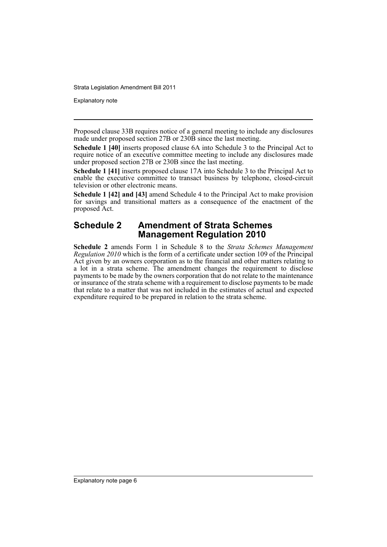Explanatory note

Proposed clause 33B requires notice of a general meeting to include any disclosures made under proposed section 27B or 230B since the last meeting.

**Schedule 1 [40]** inserts proposed clause 6A into Schedule 3 to the Principal Act to require notice of an executive committee meeting to include any disclosures made under proposed section 27B or 230B since the last meeting.

**Schedule 1 [41]** inserts proposed clause 17A into Schedule 3 to the Principal Act to enable the executive committee to transact business by telephone, closed-circuit television or other electronic means.

**Schedule 1 [42] and [43]** amend Schedule 4 to the Principal Act to make provision for savings and transitional matters as a consequence of the enactment of the proposed Act.

# **Schedule 2 Amendment of Strata Schemes Management Regulation 2010**

**Schedule 2** amends Form 1 in Schedule 8 to the *Strata Schemes Management Regulation 2010* which is the form of a certificate under section 109 of the Principal Act given by an owners corporation as to the financial and other matters relating to a lot in a strata scheme. The amendment changes the requirement to disclose payments to be made by the owners corporation that do not relate to the maintenance or insurance of the strata scheme with a requirement to disclose payments to be made that relate to a matter that was not included in the estimates of actual and expected expenditure required to be prepared in relation to the strata scheme.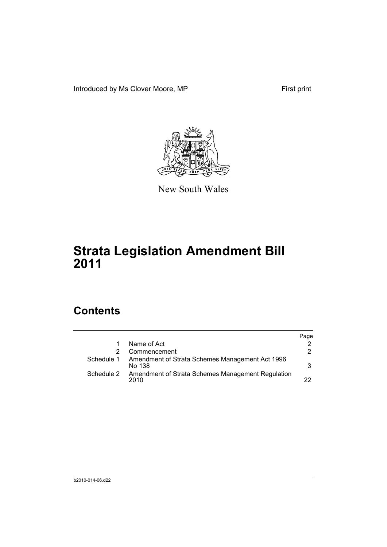Introduced by Ms Clover Moore, MP First print



New South Wales

# **Strata Legislation Amendment Bill 2011**

# **Contents**

|            |                                                           | Page |
|------------|-----------------------------------------------------------|------|
|            | Name of Act                                               |      |
|            | Commencement                                              | 2    |
| Schedule 1 | Amendment of Strata Schemes Management Act 1996<br>No 138 | 3    |
| Schedule 2 | Amendment of Strata Schemes Management Regulation<br>2010 | つつ   |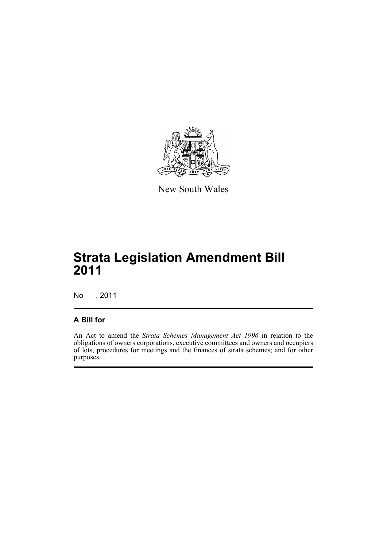

New South Wales

# **Strata Legislation Amendment Bill 2011**

No , 2011

## **A Bill for**

An Act to amend the *Strata Schemes Management Act 1996* in relation to the obligations of owners corporations, executive committees and owners and occupiers of lots, procedures for meetings and the finances of strata schemes; and for other purposes.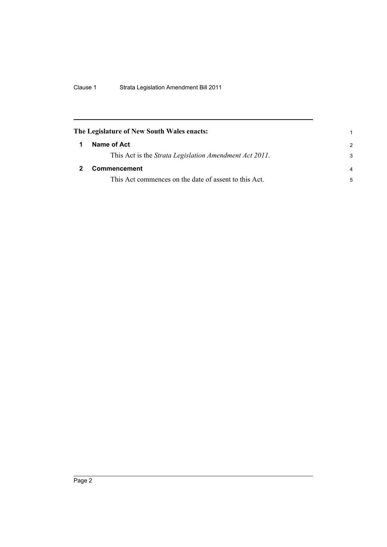<span id="page-9-1"></span><span id="page-9-0"></span>

| The Legislature of New South Wales enacts: |                                                        |                |
|--------------------------------------------|--------------------------------------------------------|----------------|
|                                            | Name of Act                                            | $\mathcal{P}$  |
|                                            | This Act is the Strata Legislation Amendment Act 2011. | 3              |
|                                            | <b>Commencement</b>                                    | $\overline{a}$ |
|                                            | This Act commences on the date of assent to this Act.  | 5              |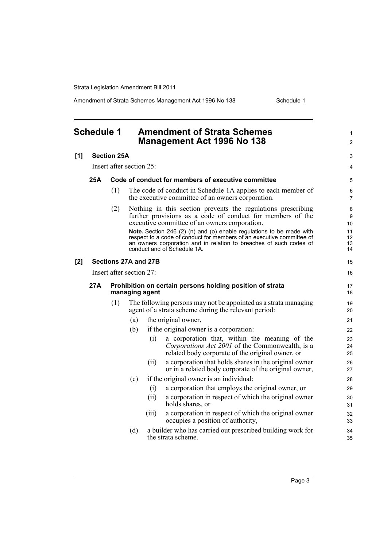Amendment of Strata Schemes Management Act 1996 No 138 Schedule 1

#### <span id="page-10-0"></span>**Schedule 1 Amendment of Strata Schemes Management Act 1996 No 138 [1] Section 25A** Insert after section 25: **25A Code of conduct for members of executive committee** (1) The code of conduct in Schedule 1A applies to each member of the executive committee of an owners corporation. (2) Nothing in this section prevents the regulations prescribing further provisions as a code of conduct for members of the executive committee of an owners corporation. **Note.** Section 246 (2) (n) and (o) enable regulations to be made with respect to a code of conduct for members of an executive committee of an owners corporation and in relation to breaches of such codes of conduct and of Schedule 1A. **[2] Sections 27A and 27B** Insert after section 27: **27A Prohibition on certain persons holding position of strata managing agent** (1) The following persons may not be appointed as a strata managing agent of a strata scheme during the relevant period: (a) the original owner, (b) if the original owner is a corporation: (i) a corporation that, within the meaning of the *Corporations Act 2001* of the Commonwealth, is a related body corporate of the original owner, or (ii) a corporation that holds shares in the original owner or in a related body corporate of the original owner, (c) if the original owner is an individual: (i) a corporation that employs the original owner, or (ii) a corporation in respect of which the original owner holds shares, or (iii) a corporation in respect of which the original owner occupies a position of authority, (d) a builder who has carried out prescribed building work for the strata scheme. 1  $\mathfrak{p}$  $\overline{a}$ 4 5 6 7  $\Omega$  $\alpha$ 10 11 12 13 14 15 16 17 18 19 20 21 22 23 24 25 26 27 28 29 30 31 32 33 34 35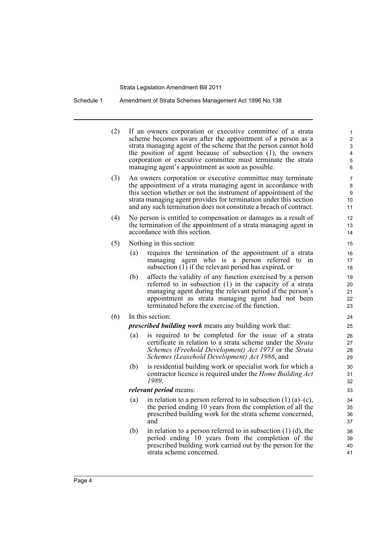Schedule 1 Amendment of Strata Schemes Management Act 1996 No 138

| (2) |     | If an owners corporation or executive committee of a strata<br>scheme becomes aware after the appointment of a person as a<br>strata managing agent of the scheme that the person cannot hold<br>the position of agent because of subsection (1), the owners<br>corporation or executive committee must terminate the strata<br>managing agent's appointment as soon as possible. | 1<br>2<br>3<br>4<br>5<br>6 |
|-----|-----|-----------------------------------------------------------------------------------------------------------------------------------------------------------------------------------------------------------------------------------------------------------------------------------------------------------------------------------------------------------------------------------|----------------------------|
| (3) |     | An owners corporation or executive committee may terminate<br>the appointment of a strata managing agent in accordance with<br>this section whether or not the instrument of appointment of the<br>strata managing agent provides for termination under this section<br>and any such termination does not constitute a breach of contract.                                        | 7<br>8<br>9<br>10<br>11    |
| (4) |     | No person is entitled to compensation or damages as a result of<br>the termination of the appointment of a strata managing agent in<br>accordance with this section.                                                                                                                                                                                                              | 12<br>13<br>14             |
| (5) |     | Nothing in this section:                                                                                                                                                                                                                                                                                                                                                          | 15                         |
|     | (a) | requires the termination of the appointment of a strata<br>managing agent who is a person referred to<br>1n<br>subsection (1) if the relevant period has expired, or                                                                                                                                                                                                              | 16<br>17<br>18             |
|     | (b) | affects the validity of any function exercised by a person<br>referred to in subsection (1) in the capacity of a strata<br>managing agent during the relevant period if the person's<br>appointment as strata managing agent had not been<br>terminated before the exercise of the function.                                                                                      | 19<br>20<br>21<br>22<br>23 |
| (6) |     | In this section:                                                                                                                                                                                                                                                                                                                                                                  | 24                         |
|     |     | <i>prescribed building work</i> means any building work that:                                                                                                                                                                                                                                                                                                                     | 25                         |
|     | (a) | is required to be completed for the issue of a strata<br>certificate in relation to a strata scheme under the Strata<br>Schemes (Freehold Development) Act 1973 or the Strata<br>Schemes (Leasehold Development) Act 1986, and                                                                                                                                                    | 26<br>27<br>28<br>29       |
|     | (b) | is residential building work or specialist work for which a<br>contractor licence is required under the <i>Home Building Act</i><br>1989.                                                                                                                                                                                                                                         | 30<br>31<br>32             |
|     |     | <i>relevant period</i> means:                                                                                                                                                                                                                                                                                                                                                     | 33                         |
|     | (a) | in relation to a person referred to in subsection $(1)$ $(a)$ – $(c)$ ,<br>the period ending 10 years from the completion of all the<br>prescribed building work for the strata scheme concerned,<br>and                                                                                                                                                                          | 34<br>35<br>36<br>37       |
|     | (b) | in relation to a person referred to in subsection $(1)$ $(d)$ , the<br>period ending 10 years from the completion of the<br>prescribed building work carried out by the person for the<br>strata scheme concerned.                                                                                                                                                                | 38<br>39<br>40<br>41       |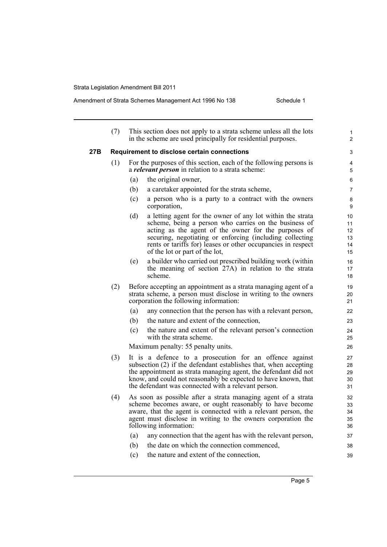|     | (7) |     | This section does not apply to a strata scheme unless all the lots<br>in the scheme are used principally for residential purposes.                                                                                                                                                                                                        | $\mathbf{1}$<br>$\overline{2}$   |
|-----|-----|-----|-------------------------------------------------------------------------------------------------------------------------------------------------------------------------------------------------------------------------------------------------------------------------------------------------------------------------------------------|----------------------------------|
| 27B |     |     | <b>Requirement to disclose certain connections</b>                                                                                                                                                                                                                                                                                        | 3                                |
|     | (1) |     | For the purposes of this section, each of the following persons is<br>a <i>relevant person</i> in relation to a strata scheme:                                                                                                                                                                                                            | 4<br>5                           |
|     |     | (a) | the original owner,                                                                                                                                                                                                                                                                                                                       | 6                                |
|     |     | (b) | a caretaker appointed for the strata scheme,                                                                                                                                                                                                                                                                                              | 7                                |
|     |     | (c) | a person who is a party to a contract with the owners<br>corporation,                                                                                                                                                                                                                                                                     | 8<br>9                           |
|     |     | (d) | a letting agent for the owner of any lot within the strata<br>scheme, being a person who carries on the business of<br>acting as the agent of the owner for the purposes of<br>securing, negotiating or enforcing (including collecting<br>rents or tariffs for) leases or other occupancies in respect<br>of the lot or part of the lot, | 10<br>11<br>12<br>13<br>14<br>15 |
|     |     | (e) | a builder who carried out prescribed building work (within<br>the meaning of section 27A) in relation to the strata<br>scheme.                                                                                                                                                                                                            | 16<br>17<br>18                   |
|     | (2) |     | Before accepting an appointment as a strata managing agent of a<br>strata scheme, a person must disclose in writing to the owners<br>corporation the following information:                                                                                                                                                               | 19<br>20<br>21                   |
|     |     | (a) | any connection that the person has with a relevant person,                                                                                                                                                                                                                                                                                | 22                               |
|     |     | (b) | the nature and extent of the connection,                                                                                                                                                                                                                                                                                                  | 23                               |
|     |     | (c) | the nature and extent of the relevant person's connection<br>with the strata scheme.                                                                                                                                                                                                                                                      | 24<br>25                         |
|     |     |     | Maximum penalty: 55 penalty units.                                                                                                                                                                                                                                                                                                        | 26                               |
|     | (3) |     | It is a defence to a prosecution for an offence against<br>subsection (2) if the defendant establishes that, when accepting<br>the appointment as strata managing agent, the defendant did not<br>know, and could not reasonably be expected to have known, that<br>the defendant was connected with a relevant person.                   | 27<br>28<br>29<br>30<br>31       |
|     | (4) |     | As soon as possible after a strata managing agent of a strata<br>scheme becomes aware, or ought reasonably to have become<br>aware, that the agent is connected with a relevant person, the<br>agent must disclose in writing to the owners corporation the<br>following information:                                                     | 32<br>33<br>34<br>35<br>36       |
|     |     | (a) | any connection that the agent has with the relevant person,                                                                                                                                                                                                                                                                               | 37                               |
|     |     | (b) | the date on which the connection commenced,                                                                                                                                                                                                                                                                                               | 38                               |
|     |     | (c) | the nature and extent of the connection,                                                                                                                                                                                                                                                                                                  | 39                               |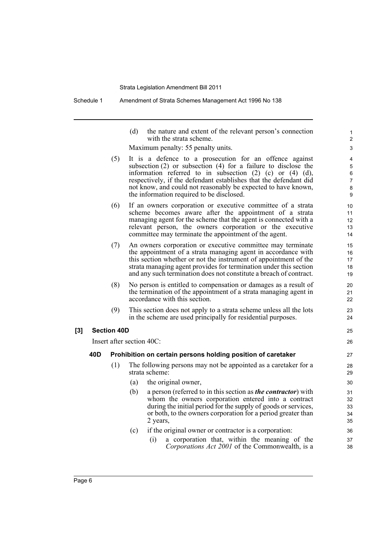Schedule 1 Amendment of Strata Schemes Management Act 1996 No 138

(d) the nature and extent of the relevant person's connection with the strata scheme.

Maximum penalty: 55 penalty units.

- (5) It is a defence to a prosecution for an offence against subsection (2) or subsection (4) for a failure to disclose the information referred to in subsection (2) (c) or (4) (d), respectively, if the defendant establishes that the defendant did not know, and could not reasonably be expected to have known, the information required to be disclosed.
- (6) If an owners corporation or executive committee of a strata scheme becomes aware after the appointment of a strata managing agent for the scheme that the agent is connected with a relevant person, the owners corporation or the executive committee may terminate the appointment of the agent.
- (7) An owners corporation or executive committee may terminate the appointment of a strata managing agent in accordance with this section whether or not the instrument of appointment of the strata managing agent provides for termination under this section and any such termination does not constitute a breach of contract.
- (8) No person is entitled to compensation or damages as a result of the termination of the appointment of a strata managing agent in accordance with this section.
- (9) This section does not apply to a strata scheme unless all the lots in the scheme are used principally for residential purposes.

## **[3] Section 40D**

Insert after section 40C:

### **40D Prohibition on certain persons holding position of caretaker**

- (1) The following persons may not be appointed as a caretaker for a strata scheme:
	- (a) the original owner,
	- (b) a person (referred to in this section as *the contractor*) with whom the owners corporation entered into a contract during the initial period for the supply of goods or services, or both, to the owners corporation for a period greater than 2 years,
	- (c) if the original owner or contractor is a corporation:
		- (i) a corporation that, within the meaning of the *Corporations Act 2001* of the Commonwealth, is a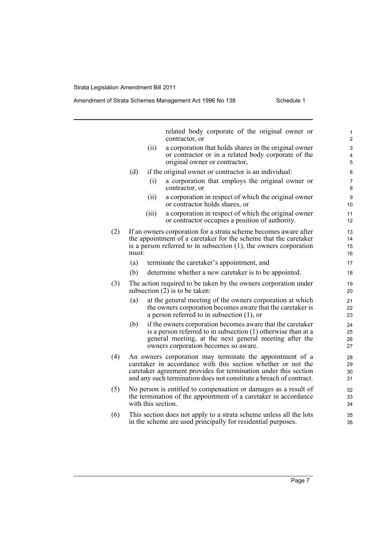### Amendment of Strata Schemes Management Act 1996 No 138 Schedule 1

related body corporate of the original owner or contractor, or (ii) a corporation that holds shares in the original owner or contractor or in a related body corporate of the original owner or contractor, (d) if the original owner or contractor is an individual: (i) a corporation that employs the original owner or contractor, or (ii) a corporation in respect of which the original owner or contractor holds shares, or (iii) a corporation in respect of which the original owner or contractor occupies a position of authority. (2) If an owners corporation for a strata scheme becomes aware after the appointment of a caretaker for the scheme that the caretaker is a person referred to in subsection (1), the owners corporation must: (a) terminate the caretaker's appointment, and (b) determine whether a new caretaker is to be appointed. (3) The action required to be taken by the owners corporation under subsection  $(2)$  is to be taken: (a) at the general meeting of the owners corporation at which the owners corporation becomes aware that the caretaker is a person referred to in subsection (1), or (b) if the owners corporation becomes aware that the caretaker is a person referred to in subsection (1) otherwise than at a general meeting, at the next general meeting after the owners corporation becomes so aware. (4) An owners corporation may terminate the appointment of a caretaker in accordance with this section whether or not the caretaker agreement provides for termination under this section and any such termination does not constitute a breach of contract. (5) No person is entitled to compensation or damages as a result of the termination of the appointment of a caretaker in accordance with this section. (6) This section does not apply to a strata scheme unless all the lots in the scheme are used principally for residential purposes. 1 2 3 4 5 6 7 8 9 10 11 12 13 14 15 16 17 18 19  $20$ 21 22 23 24 25 26 27 28 29 30 31 32 33 34 35 36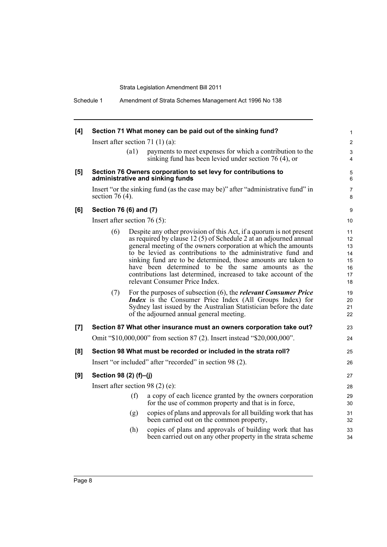Schedule 1 Amendment of Strata Schemes Management Act 1996 No 138

| [4] |                                |      | Section 71 What money can be paid out of the sinking fund?                                                                                                                                                                                                                                                                                                                                                                                                                                             | $\mathbf{1}$                                 |
|-----|--------------------------------|------|--------------------------------------------------------------------------------------------------------------------------------------------------------------------------------------------------------------------------------------------------------------------------------------------------------------------------------------------------------------------------------------------------------------------------------------------------------------------------------------------------------|----------------------------------------------|
|     |                                |      | Insert after section 71 $(1)(a)$ :                                                                                                                                                                                                                                                                                                                                                                                                                                                                     | $\overline{2}$                               |
|     |                                | (a1) | payments to meet expenses for which a contribution to the<br>sinking fund has been levied under section $76(4)$ , or                                                                                                                                                                                                                                                                                                                                                                                   | 3<br>$\overline{4}$                          |
| [5] |                                |      | Section 76 Owners corporation to set levy for contributions to<br>administrative and sinking funds                                                                                                                                                                                                                                                                                                                                                                                                     | $\mathbf 5$<br>6                             |
|     | section 76 $(4)$ .             |      | Insert "or the sinking fund (as the case may be)" after "administrative fund" in                                                                                                                                                                                                                                                                                                                                                                                                                       | $\overline{7}$<br>8                          |
| [6] | Section 76 (6) and (7)         |      |                                                                                                                                                                                                                                                                                                                                                                                                                                                                                                        | 9                                            |
|     | Insert after section $76(5)$ : |      |                                                                                                                                                                                                                                                                                                                                                                                                                                                                                                        | 10 <sup>°</sup>                              |
|     | (6)                            |      | Despite any other provision of this Act, if a quorum is not present<br>as required by clause 12 (5) of Schedule 2 at an adjourned annual<br>general meeting of the owners corporation at which the amounts<br>to be levied as contributions to the administrative fund and<br>sinking fund are to be determined, those amounts are taken to<br>have been determined to be the same amounts as the<br>contributions last determined, increased to take account of the<br>relevant Consumer Price Index. | 11<br>12<br>13<br>14<br>15<br>16<br>17<br>18 |
|     | (7)                            |      | For the purposes of subsection $(6)$ , the <i>relevant Consumer Price</i><br><i>Index</i> is the Consumer Price Index (All Groups Index) for<br>Sydney last issued by the Australian Statistician before the date<br>of the adjourned annual general meeting.                                                                                                                                                                                                                                          | 19<br>20<br>21<br>22                         |
| [7] |                                |      | Section 87 What other insurance must an owners corporation take out?                                                                                                                                                                                                                                                                                                                                                                                                                                   | 23                                           |
|     |                                |      | Omit "\$10,000,000" from section 87 (2). Insert instead "\$20,000,000".                                                                                                                                                                                                                                                                                                                                                                                                                                | 24                                           |
| [8] |                                |      | Section 98 What must be recorded or included in the strata roll?                                                                                                                                                                                                                                                                                                                                                                                                                                       | 25                                           |
|     |                                |      | Insert "or included" after "recorded" in section 98 (2).                                                                                                                                                                                                                                                                                                                                                                                                                                               | 26                                           |
| [9] | Section 98 (2) (f)-(j)         |      |                                                                                                                                                                                                                                                                                                                                                                                                                                                                                                        | 27                                           |
|     |                                |      | Insert after section 98 $(2)$ $(e)$ :                                                                                                                                                                                                                                                                                                                                                                                                                                                                  | 28                                           |
|     |                                | (f)  | a copy of each licence granted by the owners corporation<br>for the use of common property and that is in force,                                                                                                                                                                                                                                                                                                                                                                                       | 29<br>30                                     |
|     |                                | (g)  | copies of plans and approvals for all building work that has<br>been carried out on the common property,                                                                                                                                                                                                                                                                                                                                                                                               | 31<br>32                                     |
|     |                                | (h)  | copies of plans and approvals of building work that has<br>been carried out on any other property in the strata scheme                                                                                                                                                                                                                                                                                                                                                                                 | 33<br>34                                     |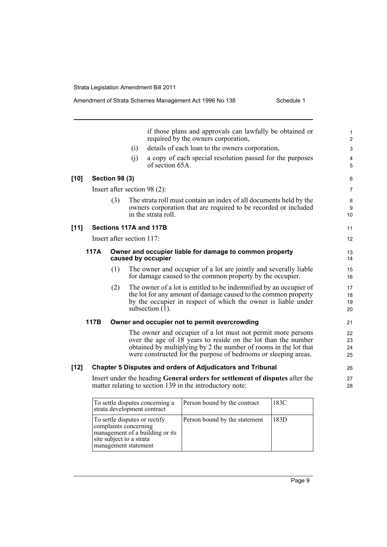|        |      |                           |     | if those plans and approvals can lawfully be obtained or                                                                                                                                                                                                             | $\mathbf{1}$         |
|--------|------|---------------------------|-----|----------------------------------------------------------------------------------------------------------------------------------------------------------------------------------------------------------------------------------------------------------------------|----------------------|
|        |      |                           |     | required by the owners corporation,                                                                                                                                                                                                                                  | 2                    |
|        |      |                           | (i) | details of each loan to the owners corporation,                                                                                                                                                                                                                      | 3                    |
|        |      |                           | (j) | a copy of each special resolution passed for the purposes<br>of section 65A.                                                                                                                                                                                         | 4<br>5               |
| $[10]$ |      | <b>Section 98 (3)</b>     |     |                                                                                                                                                                                                                                                                      | 6                    |
|        |      |                           |     | Insert after section $98(2)$ :                                                                                                                                                                                                                                       | $\overline{7}$       |
|        |      | (3)                       |     | The strata roll must contain an index of all documents held by the<br>owners corporation that are required to be recorded or included<br>in the strata roll.                                                                                                         | 8<br>9<br>10         |
| $[11]$ |      |                           |     | Sections 117A and 117B                                                                                                                                                                                                                                               | 11                   |
|        |      | Insert after section 117: |     |                                                                                                                                                                                                                                                                      | 12                   |
|        | 117A |                           |     | Owner and occupier liable for damage to common property<br>caused by occupier                                                                                                                                                                                        | 13<br>14             |
|        |      | (1)                       |     | The owner and occupier of a lot are jointly and severally liable<br>for damage caused to the common property by the occupier.                                                                                                                                        | 15<br>16             |
|        |      | (2)                       |     | The owner of a lot is entitled to be indemnified by an occupier of<br>the lot for any amount of damage caused to the common property<br>by the occupier in respect of which the owner is liable under<br>subsection $(1)$ .                                          | 17<br>18<br>19<br>20 |
|        | 117B |                           |     | Owner and occupier not to permit overcrowding                                                                                                                                                                                                                        | 21                   |
|        |      |                           |     | The owner and occupier of a lot must not permit more persons<br>over the age of 18 years to reside on the lot than the number<br>obtained by multiplying by 2 the number of rooms in the lot that<br>were constructed for the purpose of bedrooms or sleeping areas. | 22<br>23<br>24<br>25 |
| $[12]$ |      |                           |     | <b>Chapter 5 Disputes and orders of Adjudicators and Tribunal</b>                                                                                                                                                                                                    | 26                   |
|        |      |                           |     | Insert under the heading General orders for settlement of disputes after the<br>matter relating to section 139 in the introductory note:                                                                                                                             | 27<br>28             |
|        |      |                           |     | To settle disputes concerning a<br>Person bound by the contract<br>183C                                                                                                                                                                                              |                      |

| To settle disputes concerning a<br>strata development contract                                                                                | Person bound by the contract  | 183C |
|-----------------------------------------------------------------------------------------------------------------------------------------------|-------------------------------|------|
| To settle disputes or rectify<br>complaints concerning<br>management of a building or its<br>site subject to a strata<br>management statement | Person bound by the statement | 183D |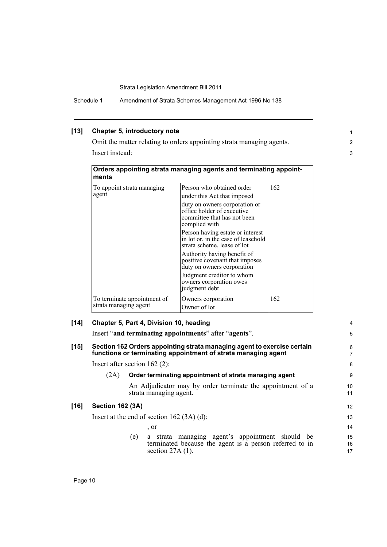Schedule 1 Amendment of Strata Schemes Management Act 1996 No 138

## **[13] Chapter 5, introductory note**

Omit the matter relating to orders appointing strata managing agents. Insert instead:

1 2 3

4 5

| ments                                                | Orders appointing strata managing agents and terminating appoint-                                           |     |  |  |  |  |  |
|------------------------------------------------------|-------------------------------------------------------------------------------------------------------------|-----|--|--|--|--|--|
| To appoint strata managing                           | Person who obtained order                                                                                   | 162 |  |  |  |  |  |
| agent                                                | under this Act that imposed                                                                                 |     |  |  |  |  |  |
|                                                      | duty on owners corporation or<br>office holder of executive<br>committee that has not been<br>complied with |     |  |  |  |  |  |
|                                                      | Person having estate or interest<br>in lot or, in the case of leasehold<br>strata scheme, lease of lot      |     |  |  |  |  |  |
|                                                      | Authority having benefit of<br>positive covenant that imposes<br>duty on owners corporation                 |     |  |  |  |  |  |
|                                                      | Judgment creditor to whom<br>owners corporation owes<br>judgment debt                                       |     |  |  |  |  |  |
| To terminate appointment of<br>strata managing agent | Owners corporation<br>Owner of lot                                                                          | 162 |  |  |  |  |  |

| [14] | Chapter 5, Part 4, Division 10, heading |  |
|------|-----------------------------------------|--|
|------|-----------------------------------------|--|

Insert "**and terminating appointments**" after "**agents**".

### **[15] Section 162 Orders appointing strata managing agent to exercise certain functions or terminating appointment of strata managing agent**

Insert after section 162 (2):

## (2A) **Order terminating appointment of strata managing agent**

An Adjudicator may by order terminate the appointment of a strata managing agent.

## **[16] Section 162 (3A)**

Insert at the end of section 162 (3A) (d):

, or

(e) a strata managing agent's appointment should be terminated because the agent is a person referred to in section 27A (1).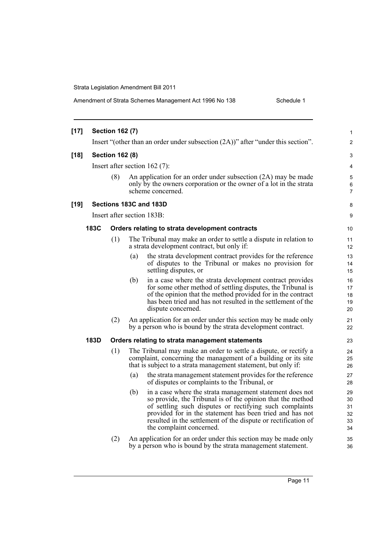| $[17]$ |      | <b>Section 162 (7)</b> |                                                                                                                                                                                                                                                                                                                                                   | 1                                |
|--------|------|------------------------|---------------------------------------------------------------------------------------------------------------------------------------------------------------------------------------------------------------------------------------------------------------------------------------------------------------------------------------------------|----------------------------------|
|        |      |                        | Insert "(other than an order under subsection $(2A)$ )" after "under this section".                                                                                                                                                                                                                                                               | 2                                |
| $[18]$ |      | <b>Section 162 (8)</b> |                                                                                                                                                                                                                                                                                                                                                   | 3                                |
|        |      |                        | Insert after section $162(7)$ :                                                                                                                                                                                                                                                                                                                   | 4                                |
|        |      | (8)                    | An application for an order under subsection (2A) may be made<br>only by the owners corporation or the owner of a lot in the strata<br>scheme concerned.                                                                                                                                                                                          | 5<br>6<br>7                      |
| $[19]$ |      |                        | Sections 183C and 183D                                                                                                                                                                                                                                                                                                                            | 8                                |
|        |      |                        | Insert after section 183B:                                                                                                                                                                                                                                                                                                                        | 9                                |
|        | 183C |                        | Orders relating to strata development contracts                                                                                                                                                                                                                                                                                                   | 10                               |
|        |      | (1)                    | The Tribunal may make an order to settle a dispute in relation to<br>a strata development contract, but only if:                                                                                                                                                                                                                                  | 11<br>12                         |
|        |      |                        | the strata development contract provides for the reference<br>(a)<br>of disputes to the Tribunal or makes no provision for<br>settling disputes, or                                                                                                                                                                                               | 13<br>14<br>15                   |
|        |      |                        | in a case where the strata development contract provides<br>(b)<br>for some other method of settling disputes, the Tribunal is<br>of the opinion that the method provided for in the contract<br>has been tried and has not resulted in the settlement of the<br>dispute concerned.                                                               | 16<br>17<br>18<br>19<br>20       |
|        |      | (2)                    | An application for an order under this section may be made only<br>by a person who is bound by the strata development contract.                                                                                                                                                                                                                   | 21<br>22                         |
|        | 183D |                        | Orders relating to strata management statements                                                                                                                                                                                                                                                                                                   | 23                               |
|        |      | (1)                    | The Tribunal may make an order to settle a dispute, or rectify a<br>complaint, concerning the management of a building or its site<br>that is subject to a strata management statement, but only if:                                                                                                                                              | 24<br>25<br>26                   |
|        |      |                        | the strata management statement provides for the reference<br>(a)<br>of disputes or complaints to the Tribunal, or                                                                                                                                                                                                                                | 27<br>28                         |
|        |      |                        | (b)<br>in a case where the strata management statement does not<br>so provide, the Tribunal is of the opinion that the method<br>of settling such disputes or rectifying such complaints<br>provided for in the statement has been tried and has not<br>resulted in the settlement of the dispute or rectification of<br>the complaint concerned. | 29<br>30<br>31<br>32<br>33<br>34 |
|        |      | (2)                    | An application for an order under this section may be made only<br>by a person who is bound by the strata management statement.                                                                                                                                                                                                                   | 35<br>36                         |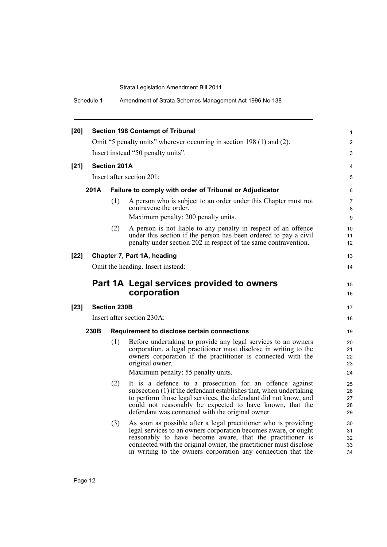Schedule 1 Amendment of Strata Schemes Management Act 1996 No 138

| $[20]$ |                                    |                                                                       | <b>Section 198 Contempt of Tribunal</b>                                                                                                                                                                                                                                                                                              | $\mathbf{1}$               |  |  |  |
|--------|------------------------------------|-----------------------------------------------------------------------|--------------------------------------------------------------------------------------------------------------------------------------------------------------------------------------------------------------------------------------------------------------------------------------------------------------------------------------|----------------------------|--|--|--|
|        |                                    | Omit "5 penalty units" wherever occurring in section 198 (1) and (2). |                                                                                                                                                                                                                                                                                                                                      |                            |  |  |  |
|        | Insert instead "50 penalty units". |                                                                       |                                                                                                                                                                                                                                                                                                                                      |                            |  |  |  |
| $[21]$ |                                    | <b>Section 201A</b>                                                   |                                                                                                                                                                                                                                                                                                                                      | 4                          |  |  |  |
|        |                                    |                                                                       | Insert after section 201:                                                                                                                                                                                                                                                                                                            | 5                          |  |  |  |
|        | 201A                               |                                                                       | Failure to comply with order of Tribunal or Adjudicator                                                                                                                                                                                                                                                                              | 6                          |  |  |  |
|        |                                    | (1)                                                                   | A person who is subject to an order under this Chapter must not<br>contravene the order.<br>Maximum penalty: 200 penalty units.                                                                                                                                                                                                      | 7<br>8<br>9                |  |  |  |
|        |                                    | (2)                                                                   | A person is not liable to any penalty in respect of an offence<br>under this section if the person has been ordered to pay a civil<br>penalty under section 202 in respect of the same contravention.                                                                                                                                | 10<br>11<br>12             |  |  |  |
| $[22]$ |                                    |                                                                       | Chapter 7, Part 1A, heading                                                                                                                                                                                                                                                                                                          | 13                         |  |  |  |
|        |                                    |                                                                       | Omit the heading. Insert instead:                                                                                                                                                                                                                                                                                                    | 14                         |  |  |  |
|        |                                    |                                                                       | Part 1A Legal services provided to owners<br>corporation                                                                                                                                                                                                                                                                             | 15<br>16                   |  |  |  |
| $[23]$ |                                    | <b>Section 230B</b>                                                   |                                                                                                                                                                                                                                                                                                                                      | 17                         |  |  |  |
|        |                                    |                                                                       | Insert after section 230A:                                                                                                                                                                                                                                                                                                           | 18                         |  |  |  |
|        | 230B                               |                                                                       | Requirement to disclose certain connections                                                                                                                                                                                                                                                                                          | 19                         |  |  |  |
|        |                                    | (1)                                                                   | Before undertaking to provide any legal services to an owners<br>corporation, a legal practitioner must disclose in writing to the<br>owners corporation if the practitioner is connected with the<br>original owner.                                                                                                                | 20<br>21<br>22<br>23       |  |  |  |
|        |                                    |                                                                       | Maximum penalty: 55 penalty units.                                                                                                                                                                                                                                                                                                   | 24                         |  |  |  |
|        |                                    | (2)                                                                   | It is a defence to a prosecution for an offence against<br>subsection (1) if the defendant establishes that, when undertaking<br>to perform those legal services, the defendant did not know, and<br>could not reasonably be expected to have known, that the<br>defendant was connected with the original owner.                    | 25<br>26<br>27<br>28<br>29 |  |  |  |
|        |                                    | (3)                                                                   | As soon as possible after a legal practitioner who is providing<br>legal services to an owners corporation becomes aware, or ought<br>reasonably to have become aware, that the practitioner is<br>connected with the original owner, the practitioner must disclose<br>in writing to the owners corporation any connection that the | 30<br>31<br>32<br>33<br>34 |  |  |  |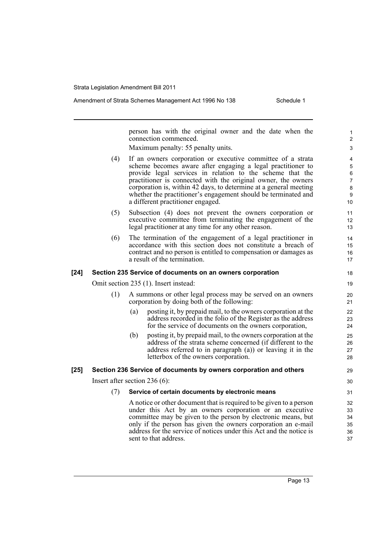|        |     | person has with the original owner and the date when the<br>connection commenced.<br>Maximum penalty: 55 penalty units.                                                                                                                                                                                                                                                                                                              | 1<br>$\boldsymbol{2}$<br>$\ensuremath{\mathsf{3}}$      |
|--------|-----|--------------------------------------------------------------------------------------------------------------------------------------------------------------------------------------------------------------------------------------------------------------------------------------------------------------------------------------------------------------------------------------------------------------------------------------|---------------------------------------------------------|
|        | (4) | If an owners corporation or executive committee of a strata<br>scheme becomes aware after engaging a legal practitioner to<br>provide legal services in relation to the scheme that the<br>practitioner is connected with the original owner, the owners<br>corporation is, within 42 days, to determine at a general meeting<br>whether the practitioner's engagement should be terminated and<br>a different practitioner engaged. | 4<br>$\mathbf 5$<br>6<br>$\overline{7}$<br>8<br>9<br>10 |
|        | (5) | Subsection (4) does not prevent the owners corporation or<br>executive committee from terminating the engagement of the<br>legal practitioner at any time for any other reason.                                                                                                                                                                                                                                                      | 11<br>12<br>13                                          |
|        | (6) | The termination of the engagement of a legal practitioner in<br>accordance with this section does not constitute a breach of<br>contract and no person is entitled to compensation or damages as<br>a result of the termination.                                                                                                                                                                                                     | 14<br>15<br>16<br>17                                    |
| [24]   |     | Section 235 Service of documents on an owners corporation                                                                                                                                                                                                                                                                                                                                                                            | 18                                                      |
|        |     | Omit section 235 (1). Insert instead:                                                                                                                                                                                                                                                                                                                                                                                                | 19                                                      |
|        | (1) | A summons or other legal process may be served on an owners<br>corporation by doing both of the following:                                                                                                                                                                                                                                                                                                                           | 20<br>21                                                |
|        |     | posting it, by prepaid mail, to the owners corporation at the<br>(a)<br>address recorded in the folio of the Register as the address<br>for the service of documents on the owners corporation,                                                                                                                                                                                                                                      | 22<br>23<br>24                                          |
|        |     | posting it, by prepaid mail, to the owners corporation at the<br>(b)<br>address of the strata scheme concerned (if different to the<br>address referred to in paragraph (a)) or leaving it in the<br>letterbox of the owners corporation.                                                                                                                                                                                            | 25<br>26<br>27<br>28                                    |
| $[25]$ |     | Section 236 Service of documents by owners corporation and others                                                                                                                                                                                                                                                                                                                                                                    | 29                                                      |
|        |     | Insert after section $236(6)$ :                                                                                                                                                                                                                                                                                                                                                                                                      | 30                                                      |
|        | (7) | Service of certain documents by electronic means                                                                                                                                                                                                                                                                                                                                                                                     | 31                                                      |
|        |     | A notice or other document that is required to be given to a person<br>under this Act by an owners corporation or an executive<br>committee may be given to the person by electronic means, but<br>only if the person has given the owners corporation an e-mail<br>address for the service of notices under this Act and the notice is<br>sent to that address.                                                                     | 32<br>33<br>34<br>35<br>36<br>37                        |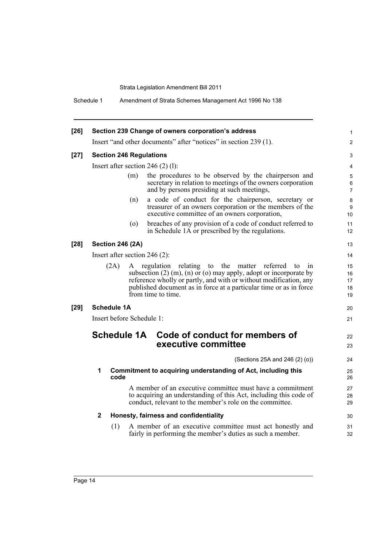Schedule 1 Amendment of Strata Schemes Management Act 1996 No 138

| $[26]$ | Section 239 Change of owners corporation's address                          |                                                                                                                                                                                                                                                                                                        |                            |  |  |  |
|--------|-----------------------------------------------------------------------------|--------------------------------------------------------------------------------------------------------------------------------------------------------------------------------------------------------------------------------------------------------------------------------------------------------|----------------------------|--|--|--|
|        | Insert "and other documents" after "notices" in section 239 (1).            |                                                                                                                                                                                                                                                                                                        |                            |  |  |  |
| $[27]$ | <b>Section 246 Regulations</b>                                              |                                                                                                                                                                                                                                                                                                        |                            |  |  |  |
|        |                                                                             | Insert after section $246(2)(1)$ :                                                                                                                                                                                                                                                                     | $\overline{4}$             |  |  |  |
|        |                                                                             | the procedures to be observed by the chairperson and<br>(m)<br>secretary in relation to meetings of the owners corporation<br>and by persons presiding at such meetings,                                                                                                                               | 5<br>6<br>$\overline{7}$   |  |  |  |
|        |                                                                             | a code of conduct for the chairperson, secretary or<br>(n)<br>treasurer of an owners corporation or the members of the<br>executive committee of an owners corporation,                                                                                                                                | 8<br>9<br>10 <sup>1</sup>  |  |  |  |
|        |                                                                             | breaches of any provision of a code of conduct referred to<br>$\circ$<br>in Schedule 1A or prescribed by the regulations.                                                                                                                                                                              | 11<br>12                   |  |  |  |
| $[28]$ | <b>Section 246 (2A)</b>                                                     |                                                                                                                                                                                                                                                                                                        | 13                         |  |  |  |
|        |                                                                             | Insert after section $246(2)$ :                                                                                                                                                                                                                                                                        | 14                         |  |  |  |
|        | (2A)                                                                        | A regulation relating<br>to the matter referred<br>to<br>1n<br>subsection $(2)$ (m), $(n)$ or $(o)$ may apply, adopt or incorporate by<br>reference wholly or partly, and with or without modification, any<br>published document as in force at a particular time or as in force<br>from time to time | 15<br>16<br>17<br>18<br>19 |  |  |  |
| $[29]$ | <b>Schedule 1A</b><br>Insert before Schedule 1:                             |                                                                                                                                                                                                                                                                                                        |                            |  |  |  |
|        |                                                                             |                                                                                                                                                                                                                                                                                                        |                            |  |  |  |
|        | <b>Schedule 1A</b><br>Code of conduct for members of<br>executive committee |                                                                                                                                                                                                                                                                                                        |                            |  |  |  |
|        |                                                                             | (Sections 25A and 246 (2) (o))                                                                                                                                                                                                                                                                         | 24                         |  |  |  |
|        | 1<br>Commitment to acquiring understanding of Act, including this<br>code   |                                                                                                                                                                                                                                                                                                        |                            |  |  |  |
|        |                                                                             | A member of an executive committee must have a commitment<br>to acquiring an understanding of this Act, including this code of<br>conduct, relevant to the member's role on the committee.                                                                                                             | 27<br>28<br>29             |  |  |  |
|        | $\mathbf{2}$                                                                | Honesty, fairness and confidentiality                                                                                                                                                                                                                                                                  |                            |  |  |  |
|        | (1)                                                                         | A member of an executive committee must act honestly and<br>fairly in performing the member's duties as such a member.                                                                                                                                                                                 | 31<br>32                   |  |  |  |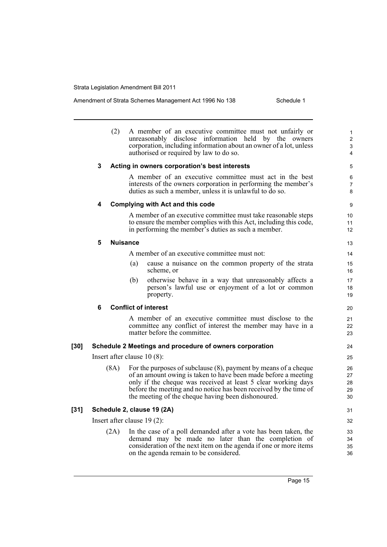|      |                               | (2)                                     |                 | A member of an executive committee must not unfairly or<br>unreasonably disclose information held by the owners                 | 1<br>$\overline{c}$ |  |  |
|------|-------------------------------|-----------------------------------------|-----------------|---------------------------------------------------------------------------------------------------------------------------------|---------------------|--|--|
|      |                               |                                         |                 | corporation, including information about an owner of a lot, unless<br>authorised or required by law to do so.                   | 3<br>$\overline{4}$ |  |  |
|      | 3                             |                                         |                 | Acting in owners corporation's best interests                                                                                   | 5                   |  |  |
|      |                               |                                         |                 | A member of an executive committee must act in the best                                                                         | 6                   |  |  |
|      |                               |                                         |                 | interests of the owners corporation in performing the member's<br>duties as such a member, unless it is unlawful to do so.      | $\overline{7}$<br>8 |  |  |
|      | 4                             | <b>Complying with Act and this code</b> | 9               |                                                                                                                                 |                     |  |  |
|      |                               |                                         |                 | A member of an executive committee must take reasonable steps                                                                   | 10                  |  |  |
|      |                               |                                         |                 | to ensure the member complies with this Act, including this code,<br>in performing the member's duties as such a member.        | 11<br>12            |  |  |
|      | 5                             |                                         | <b>Nuisance</b> |                                                                                                                                 | 13                  |  |  |
|      |                               |                                         |                 | A member of an executive committee must not:                                                                                    | 14                  |  |  |
|      |                               |                                         | (a)             | cause a nuisance on the common property of the strata<br>scheme, or                                                             | 15<br>16            |  |  |
|      |                               |                                         | (b)             | otherwise behave in a way that unreasonably affects a                                                                           | 17                  |  |  |
|      |                               |                                         |                 | person's lawful use or enjoyment of a lot or common<br>property.                                                                | 18<br>19            |  |  |
|      | 6                             |                                         |                 | <b>Conflict of interest</b>                                                                                                     | 20                  |  |  |
|      |                               |                                         |                 | A member of an executive committee must disclose to the                                                                         | 21                  |  |  |
|      |                               |                                         |                 | committee any conflict of interest the member may have in a<br>matter before the committee.                                     | 22<br>23            |  |  |
| [30] |                               |                                         |                 | Schedule 2 Meetings and procedure of owners corporation                                                                         | 24                  |  |  |
|      | Insert after clause $10(8)$ : |                                         |                 |                                                                                                                                 |                     |  |  |
|      | (8A)                          |                                         |                 | For the purposes of subclause $(8)$ , payment by means of a cheque                                                              | 26                  |  |  |
|      |                               |                                         |                 | of an amount owing is taken to have been made before a meeting<br>only if the cheque was received at least 5 clear working days | 27<br>28            |  |  |
|      |                               |                                         |                 | before the meeting and no notice has been received by the time of                                                               | 29                  |  |  |
|      |                               |                                         |                 | the meeting of the cheque having been dishonoured.                                                                              | 30                  |  |  |
| [31] |                               |                                         |                 | Schedule 2, clause 19 (2A)                                                                                                      | 31                  |  |  |
|      | Insert after clause $19(2)$ : |                                         |                 |                                                                                                                                 |                     |  |  |
|      |                               | (2A)                                    |                 | In the case of a poll demanded after a vote has been taken, the                                                                 | 33                  |  |  |
|      |                               |                                         |                 | demand may be made no later than the completion of<br>consideration of the next item on the agenda if one or more items         | 34<br>35            |  |  |
|      |                               |                                         |                 | on the agenda remain to be considered.                                                                                          | 36                  |  |  |
|      |                               |                                         |                 |                                                                                                                                 |                     |  |  |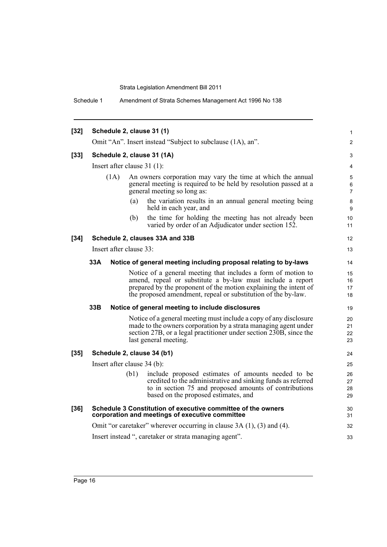Schedule 1 Amendment of Strata Schemes Management Act 1996 No 138

| $[32]$                                                                                                                    |                                                                                                                                                                                                 |                                                                                                                                                                |                                                                                                                    | 1        |  |  |
|---------------------------------------------------------------------------------------------------------------------------|-------------------------------------------------------------------------------------------------------------------------------------------------------------------------------------------------|----------------------------------------------------------------------------------------------------------------------------------------------------------------|--------------------------------------------------------------------------------------------------------------------|----------|--|--|
|                                                                                                                           | Schedule 2, clause 31 (1)                                                                                                                                                                       |                                                                                                                                                                |                                                                                                                    |          |  |  |
|                                                                                                                           |                                                                                                                                                                                                 | Omit "An". Insert instead "Subject to subclause (1A), an".                                                                                                     |                                                                                                                    |          |  |  |
| $[33]$                                                                                                                    |                                                                                                                                                                                                 |                                                                                                                                                                | Schedule 2, clause 31 (1A)                                                                                         | 3        |  |  |
|                                                                                                                           | Insert after clause $31(1)$ :                                                                                                                                                                   |                                                                                                                                                                |                                                                                                                    |          |  |  |
|                                                                                                                           | (1A)                                                                                                                                                                                            | An owners corporation may vary the time at which the annual<br>general meeting is required to be held by resolution passed at a<br>general meeting so long as: |                                                                                                                    |          |  |  |
|                                                                                                                           |                                                                                                                                                                                                 | (a)                                                                                                                                                            | the variation results in an annual general meeting being<br>held in each year, and                                 | 8<br>9   |  |  |
|                                                                                                                           |                                                                                                                                                                                                 | (b)                                                                                                                                                            | the time for holding the meeting has not already been<br>varied by order of an Adjudicator under section 152.      | 10<br>11 |  |  |
| $[34]$                                                                                                                    |                                                                                                                                                                                                 |                                                                                                                                                                | Schedule 2, clauses 33A and 33B                                                                                    | 12       |  |  |
|                                                                                                                           | Insert after clause 33:                                                                                                                                                                         |                                                                                                                                                                |                                                                                                                    | 13       |  |  |
|                                                                                                                           | 33A                                                                                                                                                                                             |                                                                                                                                                                |                                                                                                                    | 14       |  |  |
|                                                                                                                           | Notice of general meeting including proposal relating to by-laws                                                                                                                                |                                                                                                                                                                |                                                                                                                    |          |  |  |
|                                                                                                                           | Notice of a general meeting that includes a form of motion to<br>amend, repeal or substitute a by-law must include a report<br>prepared by the proponent of the motion explaining the intent of |                                                                                                                                                                |                                                                                                                    |          |  |  |
|                                                                                                                           |                                                                                                                                                                                                 |                                                                                                                                                                |                                                                                                                    |          |  |  |
|                                                                                                                           |                                                                                                                                                                                                 |                                                                                                                                                                | the proposed amendment, repeal or substitution of the by-law.                                                      | 17<br>18 |  |  |
|                                                                                                                           | 33B<br>Notice of general meeting to include disclosures                                                                                                                                         |                                                                                                                                                                |                                                                                                                    |          |  |  |
|                                                                                                                           |                                                                                                                                                                                                 |                                                                                                                                                                | Notice of a general meeting must include a copy of any disclosure                                                  | 20       |  |  |
|                                                                                                                           | made to the owners corporation by a strata managing agent under                                                                                                                                 |                                                                                                                                                                |                                                                                                                    |          |  |  |
|                                                                                                                           |                                                                                                                                                                                                 |                                                                                                                                                                | section 27B, or a legal practitioner under section 230B, since the                                                 | 22       |  |  |
|                                                                                                                           |                                                                                                                                                                                                 |                                                                                                                                                                | last general meeting.                                                                                              | 23       |  |  |
| $[35]$                                                                                                                    | Schedule 2, clause 34 (b1)                                                                                                                                                                      |                                                                                                                                                                |                                                                                                                    | 24       |  |  |
|                                                                                                                           | Insert after clause 34 (b):                                                                                                                                                                     |                                                                                                                                                                |                                                                                                                    |          |  |  |
|                                                                                                                           |                                                                                                                                                                                                 | (b1)                                                                                                                                                           | include proposed estimates of amounts needed to be<br>credited to the administrative and sinking funds as referred | 26<br>27 |  |  |
|                                                                                                                           |                                                                                                                                                                                                 |                                                                                                                                                                | to in section 75 and proposed amounts of contributions<br>based on the proposed estimates, and                     | 28<br>29 |  |  |
| $[36]$<br>Schedule 3 Constitution of executive committee of the owners<br>corporation and meetings of executive committee |                                                                                                                                                                                                 |                                                                                                                                                                |                                                                                                                    | 30<br>31 |  |  |
|                                                                                                                           | Omit "or caretaker" wherever occurring in clause $3A(1)$ , $(3)$ and $(4)$ .                                                                                                                    |                                                                                                                                                                |                                                                                                                    |          |  |  |
|                                                                                                                           | Insert instead ", caretaker or strata managing agent".                                                                                                                                          |                                                                                                                                                                |                                                                                                                    |          |  |  |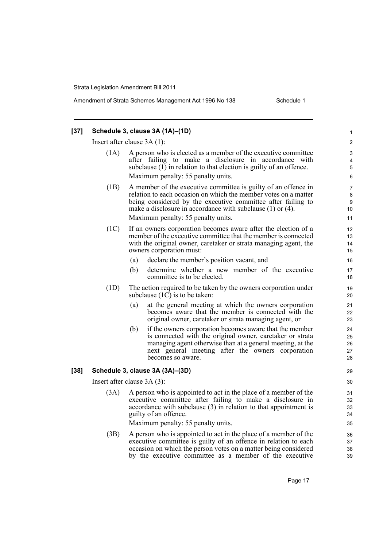#### **[37] Schedule 3, clause 3A (1A)–(1D)** Insert after clause 3A (1): (1A) A person who is elected as a member of the executive committee after failing to make a disclosure in accordance with subclause (1) in relation to that election is guilty of an offence. Maximum penalty: 55 penalty units. (1B) A member of the executive committee is guilty of an offence in relation to each occasion on which the member votes on a matter being considered by the executive committee after failing to make a disclosure in accordance with subclause (1) or (4). Maximum penalty: 55 penalty units. (1C) If an owners corporation becomes aware after the election of a member of the executive committee that the member is connected with the original owner, caretaker or strata managing agent, the owners corporation must: (a) declare the member's position vacant, and (b) determine whether a new member of the executive committee is to be elected. (1D) The action required to be taken by the owners corporation under subclause  $(1\overline{C})$  is to be taken: (a) at the general meeting at which the owners corporation becomes aware that the member is connected with the original owner, caretaker or strata managing agent, or (b) if the owners corporation becomes aware that the member is connected with the original owner, caretaker or strata managing agent otherwise than at a general meeting, at the next general meeting after the owners corporation becomes so aware. **[38] Schedule 3, clause 3A (3A)–(3D)** Insert after clause 3A (3): (3A) A person who is appointed to act in the place of a member of the executive committee after failing to make a disclosure in accordance with subclause (3) in relation to that appointment is guilty of an offence. Maximum penalty: 55 penalty units. (3B) A person who is appointed to act in the place of a member of the executive committee is guilty of an offence in relation to each occasion on which the person votes on a matter being considered by the executive committee as a member of the executive 1  $\mathfrak{p}$ 3 4 5 6 7 8 9 10 11 12 13 14 15 16 17 18 19 20 21 22 23  $24$ 25 26 27 28 29 30 31 32 33 34 35 36 37 38 39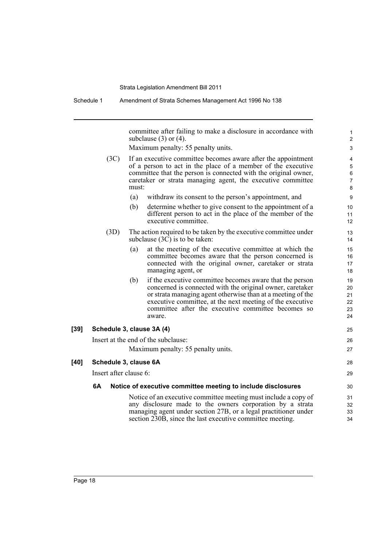Schedule 1 Amendment of Strata Schemes Management Act 1996 No 138

committee after failing to make a disclosure in accordance with subclause  $(3)$  or  $(4)$ .

1

|                           |                                                                                                                                                                                                                                                                          | subclause $(3)$ or $(4)$ .                                                                                                                                                                                                                                                                                        | $\overline{c}$                   |
|---------------------------|--------------------------------------------------------------------------------------------------------------------------------------------------------------------------------------------------------------------------------------------------------------------------|-------------------------------------------------------------------------------------------------------------------------------------------------------------------------------------------------------------------------------------------------------------------------------------------------------------------|----------------------------------|
|                           |                                                                                                                                                                                                                                                                          | Maximum penalty: 55 penalty units.                                                                                                                                                                                                                                                                                | 3                                |
| (3C)                      | If an executive committee becomes aware after the appointment<br>of a person to act in the place of a member of the executive<br>committee that the person is connected with the original owner,<br>caretaker or strata managing agent, the executive committee<br>must: |                                                                                                                                                                                                                                                                                                                   |                                  |
|                           | (a)                                                                                                                                                                                                                                                                      | withdraw its consent to the person's appointment, and                                                                                                                                                                                                                                                             | 9                                |
|                           | (b)                                                                                                                                                                                                                                                                      | determine whether to give consent to the appointment of a<br>different person to act in the place of the member of the<br>executive committee.                                                                                                                                                                    | 10<br>11<br>12                   |
| (3D)                      |                                                                                                                                                                                                                                                                          | The action required to be taken by the executive committee under<br>subclause $(3C)$ is to be taken:                                                                                                                                                                                                              | 13<br>14                         |
|                           | (a)                                                                                                                                                                                                                                                                      | at the meeting of the executive committee at which the<br>committee becomes aware that the person concerned is<br>connected with the original owner, caretaker or strata<br>managing agent, or                                                                                                                    | 15<br>16<br>17<br>18             |
|                           | (b)                                                                                                                                                                                                                                                                      | if the executive committee becomes aware that the person<br>concerned is connected with the original owner, caretaker<br>or strata managing agent otherwise than at a meeting of the<br>executive committee, at the next meeting of the executive<br>committee after the executive committee becomes so<br>aware. | 19<br>20<br>21<br>22<br>23<br>24 |
| Schedule 3, clause 3A (4) |                                                                                                                                                                                                                                                                          |                                                                                                                                                                                                                                                                                                                   | 25                               |
|                           |                                                                                                                                                                                                                                                                          | Insert at the end of the subclause:                                                                                                                                                                                                                                                                               | 26                               |
|                           |                                                                                                                                                                                                                                                                          | Maximum penalty: 55 penalty units.                                                                                                                                                                                                                                                                                | 27                               |
| Schedule 3, clause 6A     |                                                                                                                                                                                                                                                                          |                                                                                                                                                                                                                                                                                                                   | 28                               |
| Insert after clause 6:    |                                                                                                                                                                                                                                                                          |                                                                                                                                                                                                                                                                                                                   | 29                               |
| 6A                        |                                                                                                                                                                                                                                                                          | Notice of executive committee meeting to include disclosures                                                                                                                                                                                                                                                      | 30                               |
|                           |                                                                                                                                                                                                                                                                          | Notice of an executive committee meeting must include a copy of<br>any disclosure made to the owners corporation by a strata<br>managing agent under section 27B, or a legal practitioner under<br>section 230B, since the last executive committee meeting.                                                      | 31<br>32<br>33<br>34             |

[39]

 $[40]$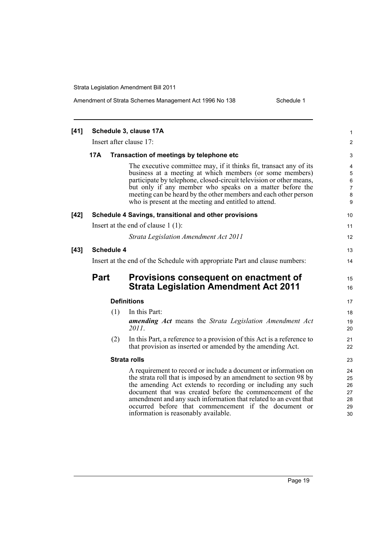| $[41]$ | Schedule 3, clause 17A                                                      |     |                                                                                                                                                                                                                                                                                                                                                                                                                                    |                                             |  |  |  |
|--------|-----------------------------------------------------------------------------|-----|------------------------------------------------------------------------------------------------------------------------------------------------------------------------------------------------------------------------------------------------------------------------------------------------------------------------------------------------------------------------------------------------------------------------------------|---------------------------------------------|--|--|--|
|        | Insert after clause 17:                                                     |     |                                                                                                                                                                                                                                                                                                                                                                                                                                    |                                             |  |  |  |
|        | 17A                                                                         |     | Transaction of meetings by telephone etc                                                                                                                                                                                                                                                                                                                                                                                           | 3                                           |  |  |  |
|        |                                                                             |     | The executive committee may, if it thinks fit, transact any of its<br>business at a meeting at which members (or some members)<br>participate by telephone, closed-circuit television or other means,<br>but only if any member who speaks on a matter before the<br>meeting can be heard by the other members and each other person<br>who is present at the meeting and entitled to attend.                                      | 4<br>5<br>$\,6$<br>$\overline{7}$<br>8<br>9 |  |  |  |
| $[42]$ |                                                                             |     | Schedule 4 Savings, transitional and other provisions                                                                                                                                                                                                                                                                                                                                                                              | 10                                          |  |  |  |
|        | Insert at the end of clause $1(1)$ :                                        |     |                                                                                                                                                                                                                                                                                                                                                                                                                                    |                                             |  |  |  |
|        |                                                                             |     | Strata Legislation Amendment Act 2011                                                                                                                                                                                                                                                                                                                                                                                              | 12                                          |  |  |  |
| $[43]$ | <b>Schedule 4</b>                                                           |     |                                                                                                                                                                                                                                                                                                                                                                                                                                    |                                             |  |  |  |
|        | Insert at the end of the Schedule with appropriate Part and clause numbers: |     |                                                                                                                                                                                                                                                                                                                                                                                                                                    |                                             |  |  |  |
|        | <b>Part</b>                                                                 |     | Provisions consequent on enactment of<br><b>Strata Legislation Amendment Act 2011</b>                                                                                                                                                                                                                                                                                                                                              | 13<br>14<br>15<br>16<br>17                  |  |  |  |
|        | <b>Definitions</b>                                                          |     |                                                                                                                                                                                                                                                                                                                                                                                                                                    |                                             |  |  |  |
|        |                                                                             | (1) | In this Part:                                                                                                                                                                                                                                                                                                                                                                                                                      | 18                                          |  |  |  |
|        |                                                                             |     | <b>amending Act</b> means the Strata Legislation Amendment Act<br>2011.                                                                                                                                                                                                                                                                                                                                                            | 19<br>20                                    |  |  |  |
|        |                                                                             | (2) | In this Part, a reference to a provision of this Act is a reference to<br>that provision as inserted or amended by the amending Act.                                                                                                                                                                                                                                                                                               | 21<br>22                                    |  |  |  |
|        | <b>Strata rolls</b>                                                         |     |                                                                                                                                                                                                                                                                                                                                                                                                                                    |                                             |  |  |  |
|        |                                                                             |     | A requirement to record or include a document or information on<br>the strata roll that is imposed by an amendment to section 98 by<br>the amending Act extends to recording or including any such<br>document that was created before the commencement of the<br>amendment and any such information that related to an event that<br>occurred before that commencement if the document or<br>information is reasonably available. | 24<br>25<br>26<br>27<br>28<br>29<br>30      |  |  |  |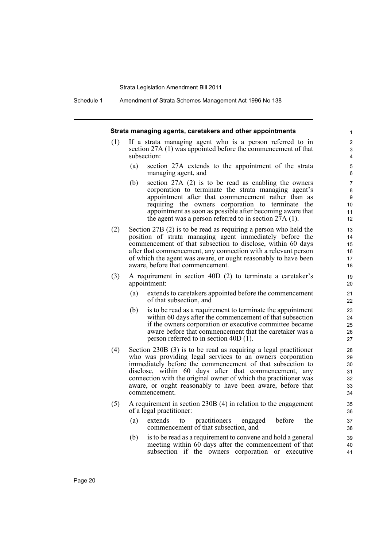Schedule 1 Amendment of Strata Schemes Management Act 1996 No 138

|     |                                                                                                                                                                                                                                                                                                                                                                                                         | Strata managing agents, caretakers and other appointments                                                                                                                                                                                                                                                                                          | $\mathbf{1}$                               |  |  |
|-----|---------------------------------------------------------------------------------------------------------------------------------------------------------------------------------------------------------------------------------------------------------------------------------------------------------------------------------------------------------------------------------------------------------|----------------------------------------------------------------------------------------------------------------------------------------------------------------------------------------------------------------------------------------------------------------------------------------------------------------------------------------------------|--------------------------------------------|--|--|
| (1) | If a strata managing agent who is a person referred to in<br>section 27A (1) was appointed before the commencement of that<br>subsection:                                                                                                                                                                                                                                                               |                                                                                                                                                                                                                                                                                                                                                    |                                            |  |  |
|     | (a)                                                                                                                                                                                                                                                                                                                                                                                                     | section 27A extends to the appointment of the strata<br>managing agent, and                                                                                                                                                                                                                                                                        | $\mathbf 5$<br>6                           |  |  |
|     | (b)                                                                                                                                                                                                                                                                                                                                                                                                     | section $27A$ (2) is to be read as enabling the owners<br>corporation to terminate the strata managing agent's<br>appointment after that commencement rather than as<br>requiring the owners corporation to terminate the<br>appointment as soon as possible after becoming aware that<br>the agent was a person referred to in section $27A(1)$ . | $\overline{7}$<br>8<br>9<br>10<br>11<br>12 |  |  |
| (2) | Section $27B(2)$ is to be read as requiring a person who held the<br>position of strata managing agent immediately before the<br>commencement of that subsection to disclose, within 60 days<br>after that commencement, any connection with a relevant person<br>of which the agent was aware, or ought reasonably to have been<br>aware, before that commencement.                                    |                                                                                                                                                                                                                                                                                                                                                    |                                            |  |  |
| (3) | A requirement in section 40D (2) to terminate a caretaker's<br>appointment:                                                                                                                                                                                                                                                                                                                             |                                                                                                                                                                                                                                                                                                                                                    |                                            |  |  |
|     | (a)                                                                                                                                                                                                                                                                                                                                                                                                     | extends to caretakers appointed before the commencement<br>of that subsection, and                                                                                                                                                                                                                                                                 | 21<br>22                                   |  |  |
|     | (b)                                                                                                                                                                                                                                                                                                                                                                                                     | is to be read as a requirement to terminate the appointment<br>within 60 days after the commencement of that subsection<br>if the owners corporation or executive committee became<br>aware before that commencement that the caretaker was a<br>person referred to in section $40D(1)$ .                                                          | 23<br>24<br>25<br>26<br>27                 |  |  |
| (4) | Section $230B(3)$ is to be read as requiring a legal practitioner<br>who was providing legal services to an owners corporation<br>immediately before the commencement of that subsection to<br>disclose, within 60 days after that commencement, any<br>connection with the original owner of which the practitioner was<br>aware, or ought reasonably to have been aware, before that<br>commencement. |                                                                                                                                                                                                                                                                                                                                                    |                                            |  |  |
| (5) | A requirement in section 230B (4) in relation to the engagement<br>of a legal practitioner:                                                                                                                                                                                                                                                                                                             |                                                                                                                                                                                                                                                                                                                                                    |                                            |  |  |
|     | (a)                                                                                                                                                                                                                                                                                                                                                                                                     | before<br>practitioners<br>the<br>extends<br>engaged<br>to<br>commencement of that subsection, and                                                                                                                                                                                                                                                 | 37<br>38                                   |  |  |
|     | (b)                                                                                                                                                                                                                                                                                                                                                                                                     | is to be read as a requirement to convene and hold a general<br>meeting within 60 days after the commencement of that                                                                                                                                                                                                                              | 39<br>40                                   |  |  |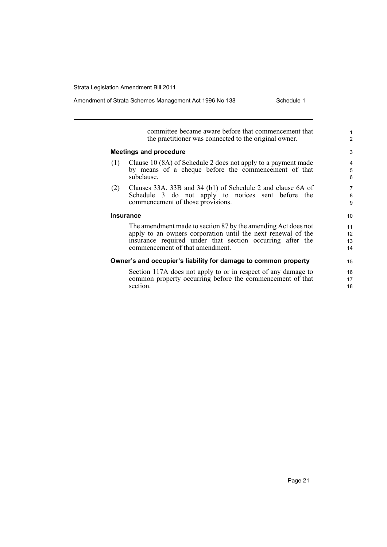|     | committee became aware before that commencement that<br>the practitioner was connected to the original owner.                                                                                                                 | 1<br>$\overline{2}$  |
|-----|-------------------------------------------------------------------------------------------------------------------------------------------------------------------------------------------------------------------------------|----------------------|
|     | <b>Meetings and procedure</b>                                                                                                                                                                                                 | 3                    |
| (1) | Clause 10 (8A) of Schedule 2 does not apply to a payment made<br>by means of a cheque before the commencement of that<br>subclause.                                                                                           | 4<br>5<br>6          |
| (2) | Clauses 33A, 33B and 34 (b1) of Schedule 2 and clause 6A of<br>Schedule 3 do not apply to notices sent before the<br>commencement of those provisions.                                                                        | 7<br>8<br>9          |
|     | <b>Insurance</b>                                                                                                                                                                                                              | 10                   |
|     | The amendment made to section 87 by the amending Act does not<br>apply to an owners corporation until the next renewal of the<br>insurance required under that section occurring after the<br>commencement of that amendment. | 11<br>12<br>13<br>14 |
|     | Owner's and occupier's liability for damage to common property                                                                                                                                                                | 15                   |
|     | Section 117A does not apply to or in respect of any damage to<br>common property occurring before the commencement of that<br>section.                                                                                        | 16<br>17<br>18       |